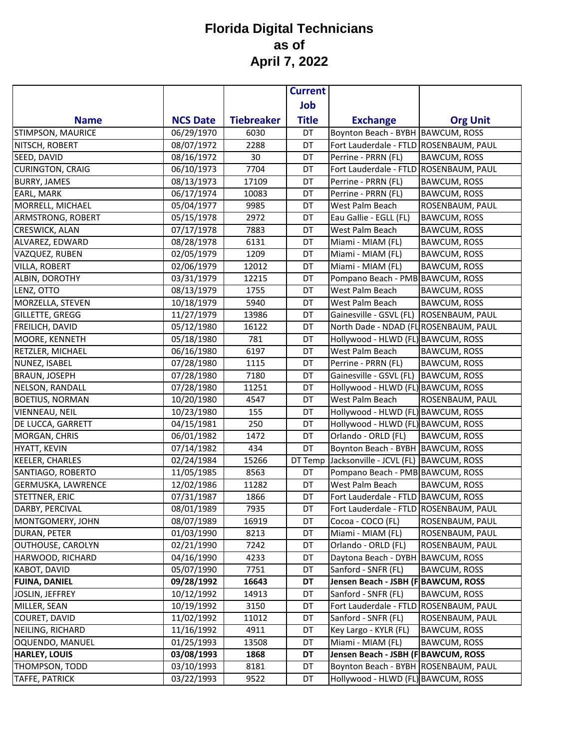|                                 |                          |                   | <b>Current</b> |                                                          |                     |
|---------------------------------|--------------------------|-------------------|----------------|----------------------------------------------------------|---------------------|
|                                 |                          |                   | Job            |                                                          |                     |
| <b>Name</b>                     | <b>NCS Date</b>          | <b>Tiebreaker</b> | <b>Title</b>   | <b>Exchange</b>                                          | <b>Org Unit</b>     |
| STIMPSON, MAURICE               | 06/29/1970               | 6030              | DT             | Boynton Beach - BYBH BAWCUM, ROSS                        |                     |
| NITSCH, ROBERT                  | 08/07/1972               | 2288              | DT             | Fort Lauderdale - FTLD ROSENBAUM, PAUL                   |                     |
| SEED, DAVID                     | 08/16/1972               | 30                | DT             | Perrine - PRRN (FL)                                      | <b>BAWCUM, ROSS</b> |
| <b>CURINGTON, CRAIG</b>         | 06/10/1973               | 7704              | DT             | Fort Lauderdale - FTLD ROSENBAUM, PAUL                   |                     |
| <b>BURRY, JAMES</b>             | 08/13/1973               | 17109             | DT             | Perrine - PRRN (FL)                                      | <b>BAWCUM, ROSS</b> |
| EARL, MARK                      | 06/17/1974               | 10083             | DT             | Perrine - PRRN (FL)                                      | <b>BAWCUM, ROSS</b> |
| MORRELL, MICHAEL                | 05/04/1977               | 9985              | DT             | West Palm Beach                                          | ROSENBAUM, PAUL     |
| ARMSTRONG, ROBERT               | 05/15/1978               | 2972              | DT             | Eau Gallie - EGLL (FL)                                   | <b>BAWCUM, ROSS</b> |
| CRESWICK, ALAN                  | 07/17/1978               | 7883              | DT             | West Palm Beach                                          | <b>BAWCUM, ROSS</b> |
| ALVAREZ, EDWARD                 | 08/28/1978               | 6131              | DT             | Miami - MIAM (FL)                                        | <b>BAWCUM, ROSS</b> |
| VAZQUEZ, RUBEN                  | 02/05/1979               | 1209              | DT             | Miami - MIAM (FL)                                        | <b>BAWCUM, ROSS</b> |
| <b>VILLA, ROBERT</b>            | 02/06/1979               | 12012             | DT             | Miami - MIAM (FL)                                        | <b>BAWCUM, ROSS</b> |
| ALBIN, DOROTHY                  | 03/31/1979               | 12215             | DT             | Pompano Beach - PMB BAWCUM, ROSS                         |                     |
| LENZ, OTTO                      | 08/13/1979               | 1755              | DT             | West Palm Beach                                          | <b>BAWCUM, ROSS</b> |
| MORZELLA, STEVEN                | 10/18/1979               | 5940              | DT             | West Palm Beach                                          | <b>BAWCUM, ROSS</b> |
| GILLETTE, GREGG                 | 11/27/1979               | 13986             | DT             | Gainesville - GSVL (FL) ROSENBAUM, PAUL                  |                     |
| FREILICH, DAVID                 | 05/12/1980               | 16122             | DT             | North Dade - NDAD (FL ROSENBAUM, PAUL                    |                     |
| MOORE, KENNETH                  | 05/18/1980               | 781               | DT             | Hollywood - HLWD (FL) BAWCUM, ROSS                       |                     |
| RETZLER, MICHAEL                | 06/16/1980               | 6197              | DT             | West Palm Beach                                          | <b>BAWCUM, ROSS</b> |
| NUNEZ, ISABEL                   | 07/28/1980               | 1115              | DT             | Perrine - PRRN (FL)                                      | <b>BAWCUM, ROSS</b> |
| <b>BRAUN, JOSEPH</b>            | 07/28/1980               | 7180              | DT             | Gainesville - GSVL (FL)                                  | <b>BAWCUM, ROSS</b> |
| NELSON, RANDALL                 | 07/28/1980               | 11251             | DT             | Hollywood - HLWD (FL) BAWCUM, ROSS                       |                     |
| <b>BOETIUS, NORMAN</b>          | 10/20/1980               | 4547              | DT             | West Palm Beach                                          | ROSENBAUM, PAUL     |
| <b>VIENNEAU, NEIL</b>           | 10/23/1980               | 155               | DT             | Hollywood - HLWD (FL) BAWCUM, ROSS                       |                     |
| DE LUCCA, GARRETT               | 04/15/1981               | 250               | DT             | Hollywood - HLWD (FL) BAWCUM, ROSS                       |                     |
| MORGAN, CHRIS                   | 06/01/1982               | 1472              | DT             | Orlando - ORLD (FL)                                      | <b>BAWCUM, ROSS</b> |
| <b>HYATT, KEVIN</b>             | 07/14/1982               | 434               | DT             | Boynton Beach - BYBH BAWCUM, ROSS                        |                     |
| <b>KEELER, CHARLES</b>          | 02/24/1984               | 15266             | DT Temp        | Jacksonville - JCVL (FL)                                 | <b>BAWCUM, ROSS</b> |
| SANTIAGO, ROBERTO               | 11/05/1985               | 8563              | DT             | Pompano Beach - PMB BAWCUM, ROSS                         |                     |
| <b>GERMUSKA, LAWRENCE</b>       | 12/02/1986               | 11282             | DT             | West Palm Beach                                          | <b>BAWCUM, ROSS</b> |
| STETTNER, ERIC                  | 07/31/1987               | 1866              | DT             | Fort Lauderdale - FTLD BAWCUM, ROSS                      |                     |
| DARBY, PERCIVAL                 | 08/01/1989               | 7935              | DT             | Fort Lauderdale - FTLD ROSENBAUM, PAUL                   |                     |
| MONTGOMERY, JOHN                | 08/07/1989               | 16919             | DT             | Cocoa - COCO (FL)                                        | ROSENBAUM, PAUL     |
| DURAN, PETER                    | 01/03/1990               | 8213              | DT             | Miami - MIAM (FL)                                        | ROSENBAUM, PAUL     |
| OUTHOUSE, CAROLYN               | 02/21/1990               | 7242              | DT             | Orlando - ORLD (FL)                                      | ROSENBAUM, PAUL     |
| HARWOOD, RICHARD                | 04/16/1990<br>05/07/1990 | 4233              | DT             | Daytona Beach - DYBH BAWCUM, ROSS<br>Sanford - SNFR (FL) |                     |
| KABOT, DAVID                    | 09/28/1992               | 7751<br>16643     | DT<br>DT       | Jensen Beach - JSBH (F BAWCUM, ROSS                      | <b>BAWCUM, ROSS</b> |
| <b>FUINA, DANIEL</b>            | 10/12/1992               | 14913             | DT             | Sanford - SNFR (FL)                                      | <b>BAWCUM, ROSS</b> |
| JOSLIN, JEFFREY<br>MILLER, SEAN | 10/19/1992               | 3150              | DT             | Fort Lauderdale - FTLD ROSENBAUM, PAUL                   |                     |
| COURET, DAVID                   | 11/02/1992               |                   | DT             | Sanford - SNFR (FL)                                      | ROSENBAUM, PAUL     |
| NEILING, RICHARD                | 11/16/1992               | 11012<br>4911     | DT             | Key Largo - KYLR (FL)                                    | BAWCUM, ROSS        |
| OQUENDO, MANUEL                 | 01/25/1993               | 13508             | DT             | Miami - MIAM (FL)                                        | <b>BAWCUM, ROSS</b> |
| <b>HARLEY, LOUIS</b>            | 03/08/1993               | 1868              | DT             | Jensen Beach - JSBH (F BAWCUM, ROSS                      |                     |
| THOMPSON, TODD                  | 03/10/1993               | 8181              | DT             | Boynton Beach - BYBH ROSENBAUM, PAUL                     |                     |
| <b>TAFFE, PATRICK</b>           | 03/22/1993               | 9522              | DT             | Hollywood - HLWD (FL) BAWCUM, ROSS                       |                     |
|                                 |                          |                   |                |                                                          |                     |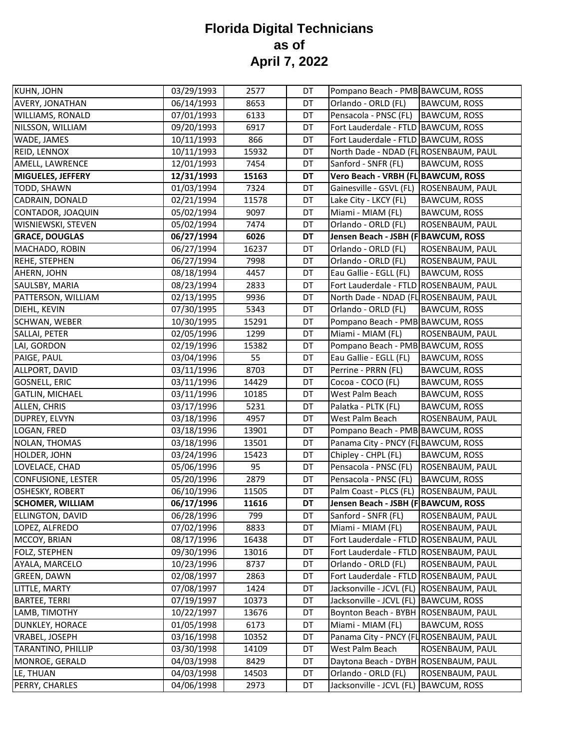| KUHN, JOHN                | 03/29/1993 | 2577  | DT        | Pompano Beach - PMB BAWCUM, ROSS         |                     |
|---------------------------|------------|-------|-----------|------------------------------------------|---------------------|
| AVERY, JONATHAN           | 06/14/1993 | 8653  | DT        | Orlando - ORLD (FL)                      | <b>BAWCUM, ROSS</b> |
| WILLIAMS, RONALD          | 07/01/1993 | 6133  | DT        | Pensacola - PNSC (FL)                    | <b>BAWCUM, ROSS</b> |
| NILSSON, WILLIAM          | 09/20/1993 | 6917  | DT        | Fort Lauderdale - FTLD BAWCUM, ROSS      |                     |
| WADE, JAMES               | 10/11/1993 | 866   | DT        | Fort Lauderdale - FTLD BAWCUM, ROSS      |                     |
| REID, LENNOX              | 10/11/1993 | 15932 | DT        | North Dade - NDAD (FL ROSENBAUM, PAUL    |                     |
| AMELL, LAWRENCE           | 12/01/1993 | 7454  | DT        | Sanford - SNFR (FL)                      | <b>BAWCUM, ROSS</b> |
| <b>MIGUELES, JEFFERY</b>  | 12/31/1993 | 15163 | <b>DT</b> | Vero Beach - VRBH (FL BAWCUM, ROSS       |                     |
| TODD, SHAWN               | 01/03/1994 | 7324  | DT        | Gainesville - GSVL (FL)  ROSENBAUM, PAUL |                     |
| CADRAIN, DONALD           | 02/21/1994 | 11578 | DT        | Lake City - LKCY (FL)                    | <b>BAWCUM, ROSS</b> |
| CONTADOR, JOAQUIN         | 05/02/1994 | 9097  | DT        | Miami - MIAM (FL)                        | <b>BAWCUM, ROSS</b> |
| WISNIEWSKI, STEVEN        | 05/02/1994 | 7474  | DT        | Orlando - ORLD (FL)                      | ROSENBAUM, PAUL     |
| <b>GRACE, DOUGLAS</b>     | 06/27/1994 | 6026  | DT        | Jensen Beach - JSBH (F BAWCUM, ROSS      |                     |
| MACHADO, ROBIN            | 06/27/1994 | 16237 | DT        | Orlando - ORLD (FL)                      | ROSENBAUM, PAUL     |
| <b>REHE, STEPHEN</b>      | 06/27/1994 | 7998  | DT        | Orlando - ORLD (FL)                      | ROSENBAUM, PAUL     |
| AHERN, JOHN               | 08/18/1994 | 4457  | DT        | Eau Gallie - EGLL (FL)                   | <b>BAWCUM, ROSS</b> |
| SAULSBY, MARIA            | 08/23/1994 | 2833  | DT        | Fort Lauderdale - FTLD ROSENBAUM, PAUL   |                     |
| PATTERSON, WILLIAM        | 02/13/1995 | 9936  | DT        | North Dade - NDAD (FL ROSENBAUM, PAUL    |                     |
| DIEHL, KEVIN              | 07/30/1995 | 5343  | DT        | Orlando - ORLD (FL)                      | <b>BAWCUM, ROSS</b> |
| SCHWAN, WEBER             | 10/30/1995 | 15291 | DT        | Pompano Beach - PMB BAWCUM, ROSS         |                     |
| SALLAI, PETER             | 02/05/1996 | 1299  | DT        | Miami - MIAM (FL)                        | ROSENBAUM, PAUL     |
| LAI, GORDON               | 02/19/1996 | 15382 | DT        | Pompano Beach - PMB BAWCUM, ROSS         |                     |
| PAIGE, PAUL               | 03/04/1996 | 55    | DT        | Eau Gallie - EGLL (FL)                   | <b>BAWCUM, ROSS</b> |
| ALLPORT, DAVID            | 03/11/1996 | 8703  | DT        | Perrine - PRRN (FL)                      | <b>BAWCUM, ROSS</b> |
| GOSNELL, ERIC             | 03/11/1996 | 14429 | DT        | Cocoa - COCO (FL)                        | <b>BAWCUM, ROSS</b> |
| <b>GATLIN, MICHAEL</b>    | 03/11/1996 | 10185 | DT        | West Palm Beach                          | BAWCUM, ROSS        |
| ALLEN, CHRIS              | 03/17/1996 | 5231  | DT        | Palatka - PLTK (FL)                      | <b>BAWCUM, ROSS</b> |
| DUPREY, ELVYN             | 03/18/1996 | 4957  | DT        | West Palm Beach                          | ROSENBAUM, PAUL     |
| LOGAN, FRED               | 03/18/1996 | 13901 | DT        | Pompano Beach - PMB BAWCUM, ROSS         |                     |
| NOLAN, THOMAS             | 03/18/1996 | 13501 | DT        | Panama City - PNCY (FL BAWCUM, ROSS      |                     |
| HOLDER, JOHN              | 03/24/1996 | 15423 | DT        | Chipley - CHPL (FL)                      | <b>BAWCUM, ROSS</b> |
| LOVELACE, CHAD            | 05/06/1996 | 95    | DT        | Pensacola - PNSC (FL)                    | ROSENBAUM, PAUL     |
| <b>CONFUSIONE, LESTER</b> | 05/20/1996 | 2879  | DT        | Pensacola - PNSC (FL)                    | <b>BAWCUM, ROSS</b> |
| OSHESKY, ROBERT           | 06/10/1996 | 11505 | DT        | Palm Coast - PLCS (FL)                   | ROSENBAUM, PAUL     |
| <b>SCHOMER, WILLIAM</b>   | 06/17/1996 | 11616 | DT        | Jensen Beach - JSBH (F BAWCUM, ROSS      |                     |
| <b>ELLINGTON, DAVID</b>   | 06/28/1996 | 799   | DT        | Sanford - SNFR (FL)                      | ROSENBAUM, PAUL     |
| LOPEZ, ALFREDO            | 07/02/1996 | 8833  | DT        | Miami - MIAM (FL)                        | ROSENBAUM, PAUL     |
| MCCOY, BRIAN              | 08/17/1996 | 16438 | DT        | Fort Lauderdale - FTLD ROSENBAUM, PAUL   |                     |
| FOLZ, STEPHEN             | 09/30/1996 | 13016 | DT        | Fort Lauderdale - FTLD ROSENBAUM, PAUL   |                     |
| AYALA, MARCELO            | 10/23/1996 | 8737  | DT        | Orlando - ORLD (FL)                      | ROSENBAUM, PAUL     |
| <b>GREEN, DAWN</b>        | 02/08/1997 | 2863  | DT        | Fort Lauderdale - FTLD ROSENBAUM, PAUL   |                     |
| LITTLE, MARTY             | 07/08/1997 | 1424  | DT        | Jacksonville - JCVL (FL)                 | ROSENBAUM, PAUL     |
| <b>BARTEE, TERRI</b>      | 07/19/1997 | 10373 | DT        | Jacksonville - JCVL (FL)                 | <b>BAWCUM, ROSS</b> |
| LAMB, TIMOTHY             | 10/22/1997 | 13676 | DT        | Boynton Beach - BYBH ROSENBAUM, PAUL     |                     |
| DUNKLEY, HORACE           | 01/05/1998 | 6173  | DT        | Miami - MIAM (FL)                        | <b>BAWCUM, ROSS</b> |
| VRABEL, JOSEPH            | 03/16/1998 | 10352 | DT        | Panama City - PNCY (FL ROSENBAUM, PAUL   |                     |
| TARANTINO, PHILLIP        | 03/30/1998 | 14109 | DT        | West Palm Beach                          | ROSENBAUM, PAUL     |
| MONROE, GERALD            | 04/03/1998 | 8429  | DT        | Daytona Beach - DYBH ROSENBAUM, PAUL     |                     |
| LE, THUAN                 | 04/03/1998 | 14503 | DT        | Orlando - ORLD (FL)                      | ROSENBAUM, PAUL     |
| PERRY, CHARLES            | 04/06/1998 | 2973  | DT        | Jacksonville - JCVL (FL)                 | <b>BAWCUM, ROSS</b> |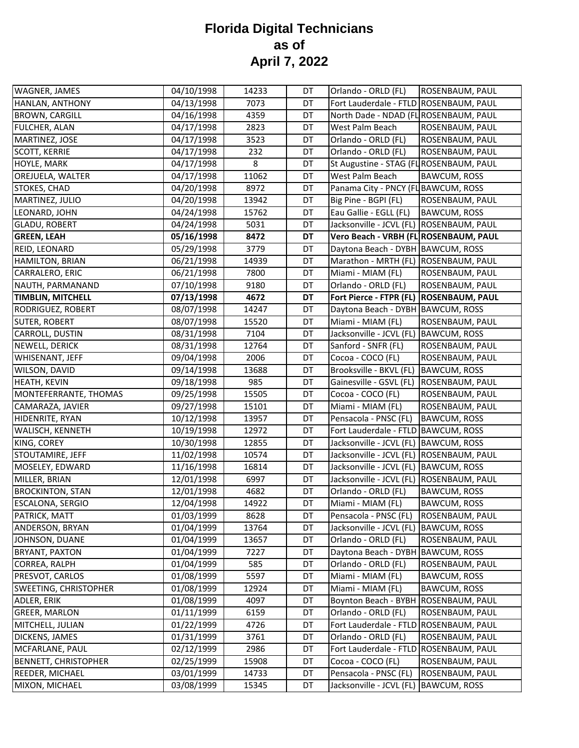| WAGNER, JAMES               | 04/10/1998 | 14233 | DT | Orlando - ORLD (FL)                       | ROSENBAUM, PAUL     |
|-----------------------------|------------|-------|----|-------------------------------------------|---------------------|
| HANLAN, ANTHONY             | 04/13/1998 | 7073  | DT | Fort Lauderdale - FTLD ROSENBAUM, PAUL    |                     |
| <b>BROWN, CARGILL</b>       | 04/16/1998 | 4359  | DT | North Dade - NDAD (FL ROSENBAUM, PAUL     |                     |
| <b>FULCHER, ALAN</b>        | 04/17/1998 | 2823  | DT | West Palm Beach                           | ROSENBAUM, PAUL     |
| MARTINEZ, JOSE              | 04/17/1998 | 3523  | DT | Orlando - ORLD (FL)                       | ROSENBAUM, PAUL     |
| <b>SCOTT, KERRIE</b>        | 04/17/1998 | 232   | DT | Orlando - ORLD (FL)                       | ROSENBAUM, PAUL     |
| HOYLE, MARK                 | 04/17/1998 | 8     | DT | St Augustine - STAG (FL ROSENBAUM, PAUL   |                     |
| OREJUELA, WALTER            | 04/17/1998 | 11062 | DT | West Palm Beach                           | <b>BAWCUM, ROSS</b> |
| STOKES, CHAD                | 04/20/1998 | 8972  | DT | Panama City - PNCY (FL BAWCUM, ROSS       |                     |
| MARTINEZ, JULIO             | 04/20/1998 | 13942 | DT | Big Pine - BGPI (FL)                      | ROSENBAUM, PAUL     |
| LEONARD, JOHN               | 04/24/1998 | 15762 | DT | Eau Gallie - EGLL (FL)                    | <b>BAWCUM, ROSS</b> |
| <b>GLADU, ROBERT</b>        | 04/24/1998 | 5031  | DT | Jacksonville - JCVL (FL) ROSENBAUM, PAUL  |                     |
| <b>GREEN, LEAH</b>          | 05/16/1998 | 8472  | DT | Vero Beach - VRBH (FL ROSENBAUM, PAUL     |                     |
| REID, LEONARD               | 05/29/1998 | 3779  | DT | Daytona Beach - DYBH BAWCUM, ROSS         |                     |
| <b>HAMILTON, BRIAN</b>      | 06/21/1998 | 14939 | DT | Marathon - MRTH (FL) ROSENBAUM, PAUL      |                     |
| CARRALERO, ERIC             | 06/21/1998 | 7800  | DT | Miami - MIAM (FL)                         | ROSENBAUM, PAUL     |
| NAUTH, PARMANAND            | 07/10/1998 | 9180  | DT | Orlando - ORLD (FL)                       | ROSENBAUM, PAUL     |
| TIMBLIN, MITCHELL           | 07/13/1998 | 4672  | DT | Fort Pierce - FTPR (FL)   ROSENBAUM, PAUL |                     |
| RODRIGUEZ, ROBERT           | 08/07/1998 | 14247 | DT | Daytona Beach - DYBH BAWCUM, ROSS         |                     |
| <b>SUTER, ROBERT</b>        | 08/07/1998 | 15520 | DT | Miami - MIAM (FL)                         | ROSENBAUM, PAUL     |
| CARROLL, DUSTIN             | 08/31/1998 | 7104  | DT | Jacksonville - JCVL (FL)                  | <b>BAWCUM, ROSS</b> |
| NEWELL, DERICK              | 08/31/1998 | 12764 | DT | Sanford - SNFR (FL)                       | ROSENBAUM, PAUL     |
| WHISENANT, JEFF             | 09/04/1998 | 2006  | DT | Cocoa - COCO (FL)                         | ROSENBAUM, PAUL     |
| WILSON, DAVID               | 09/14/1998 | 13688 | DT | Brooksville - BKVL (FL)                   | <b>BAWCUM, ROSS</b> |
| <b>HEATH, KEVIN</b>         | 09/18/1998 | 985   | DT | Gainesville - GSVL (FL)                   | ROSENBAUM, PAUL     |
| MONTEFERRANTE, THOMAS       | 09/25/1998 | 15505 | DT | Cocoa - COCO (FL)                         | ROSENBAUM, PAUL     |
| CAMARAZA, JAVIER            | 09/27/1998 | 15101 | DT | Miami - MIAM (FL)                         | ROSENBAUM, PAUL     |
| HIDENRITE, RYAN             | 10/12/1998 | 13957 | DT | Pensacola - PNSC (FL)                     | <b>BAWCUM, ROSS</b> |
| WALISCH, KENNETH            | 10/19/1998 | 12972 | DT | Fort Lauderdale - FTLD BAWCUM, ROSS       |                     |
| KING, COREY                 | 10/30/1998 | 12855 | DT | Jacksonville - JCVL (FL)                  | <b>BAWCUM, ROSS</b> |
| STOUTAMIRE, JEFF            | 11/02/1998 | 10574 | DT | Jacksonville - JCVL (FL)                  | ROSENBAUM, PAUL     |
| MOSELEY, EDWARD             | 11/16/1998 | 16814 | DT | Jacksonville - JCVL (FL)                  | <b>BAWCUM, ROSS</b> |
| MILLER, BRIAN               | 12/01/1998 | 6997  | DT | Jacksonville - JCVL (FL)                  | ROSENBAUM, PAUL     |
| <b>BROCKINTON, STAN</b>     | 12/01/1998 | 4682  | DT | Orlando - ORLD (FL)                       | <b>BAWCUM, ROSS</b> |
| ESCALONA, SERGIO            | 12/04/1998 | 14922 | DT | Miami - MIAM (FL)                         | <b>BAWCUM, ROSS</b> |
| PATRICK, MATT               | 01/03/1999 | 8628  | DT | Pensacola - PNSC (FL)                     | ROSENBAUM, PAUL     |
| ANDERSON, BRYAN             | 01/04/1999 | 13764 | DT | Jacksonville - JCVL (FL)                  | <b>BAWCUM, ROSS</b> |
| JOHNSON, DUANE              | 01/04/1999 | 13657 | DT | Orlando - ORLD (FL)                       | ROSENBAUM, PAUL     |
| <b>BRYANT, PAXTON</b>       | 01/04/1999 | 7227  | DT | Daytona Beach - DYBH BAWCUM, ROSS         |                     |
| CORREA, RALPH               | 01/04/1999 | 585   | DT | Orlando - ORLD (FL)                       | ROSENBAUM, PAUL     |
| PRESVOT, CARLOS             | 01/08/1999 | 5597  | DT | Miami - MIAM (FL)                         | <b>BAWCUM, ROSS</b> |
| SWEETING, CHRISTOPHER       | 01/08/1999 | 12924 | DT | Miami - MIAM (FL)                         | <b>BAWCUM, ROSS</b> |
| ADLER, ERIK                 | 01/08/1999 | 4097  | DT | Boynton Beach - BYBH ROSENBAUM, PAUL      |                     |
| <b>GREER, MARLON</b>        | 01/11/1999 | 6159  | DT | Orlando - ORLD (FL)                       | ROSENBAUM, PAUL     |
| MITCHELL, JULIAN            | 01/22/1999 | 4726  | DT | Fort Lauderdale - FTLD ROSENBAUM, PAUL    |                     |
| DICKENS, JAMES              | 01/31/1999 | 3761  | DT | Orlando - ORLD (FL)                       | ROSENBAUM, PAUL     |
| MCFARLANE, PAUL             | 02/12/1999 | 2986  | DT | Fort Lauderdale - FTLD ROSENBAUM, PAUL    |                     |
| <b>BENNETT, CHRISTOPHER</b> | 02/25/1999 | 15908 | DT | Cocoa - COCO (FL)                         | ROSENBAUM, PAUL     |
| <b>REEDER, MICHAEL</b>      | 03/01/1999 | 14733 | DT | Pensacola - PNSC (FL)                     | ROSENBAUM, PAUL     |
| MIXON, MICHAEL              | 03/08/1999 | 15345 | DT | Jacksonville - JCVL (FL)                  | <b>BAWCUM, ROSS</b> |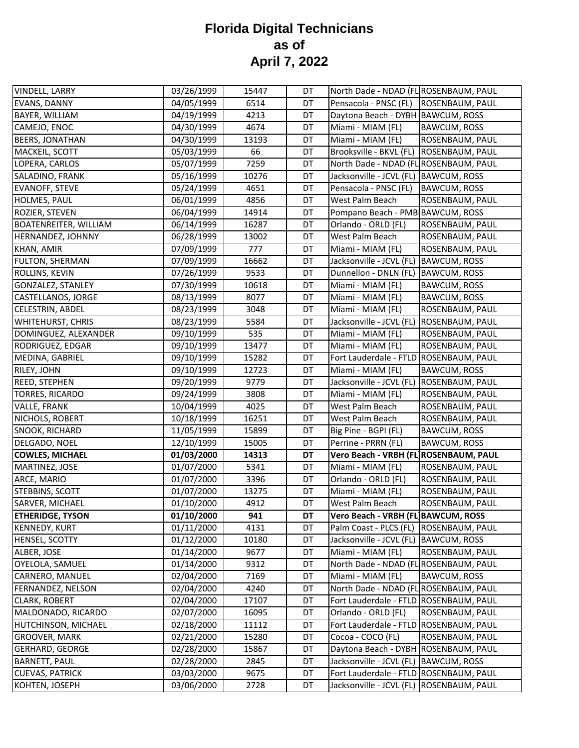| VINDELL, LARRY               | 03/26/1999 | 15447 | DT | North Dade - NDAD (FL ROSENBAUM, PAUL  |                     |
|------------------------------|------------|-------|----|----------------------------------------|---------------------|
| EVANS, DANNY                 | 04/05/1999 | 6514  | DT | Pensacola - PNSC (FL)                  | ROSENBAUM, PAUL     |
| BAYER, WILLIAM               | 04/19/1999 | 4213  | DT | Daytona Beach - DYBH BAWCUM, ROSS      |                     |
| CAMEJO, ENOC                 | 04/30/1999 | 4674  | DT | Miami - MIAM (FL)                      | <b>BAWCUM, ROSS</b> |
| <b>BEERS, JONATHAN</b>       | 04/30/1999 | 13193 | DT | Miami - MIAM (FL)                      | ROSENBAUM, PAUL     |
| MACKEIL, SCOTT               | 05/03/1999 | 66    | DT | Brooksville - BKVL (FL)                | ROSENBAUM, PAUL     |
| LOPERA, CARLOS               | 05/07/1999 | 7259  | DT | North Dade - NDAD (FL ROSENBAUM, PAUL  |                     |
| SALADINO, FRANK              | 05/16/1999 | 10276 | DT | Jacksonville - JCVL (FL) BAWCUM, ROSS  |                     |
| <b>EVANOFF, STEVE</b>        | 05/24/1999 | 4651  | DT | Pensacola - PNSC (FL)                  | <b>BAWCUM, ROSS</b> |
| HOLMES, PAUL                 | 06/01/1999 | 4856  | DT | West Palm Beach                        | ROSENBAUM, PAUL     |
| ROZIER, STEVEN               | 06/04/1999 | 14914 | DT | Pompano Beach - PMB BAWCUM, ROSS       |                     |
| <b>BOATENREITER, WILLIAM</b> | 06/14/1999 | 16287 | DT | Orlando - ORLD (FL)                    | ROSENBAUM, PAUL     |
| HERNANDEZ, JOHNNY            | 06/28/1999 | 13002 | DT | West Palm Beach                        | ROSENBAUM, PAUL     |
| KHAN, AMIR                   | 07/09/1999 | 777   | DT | Miami - MIAM (FL)                      | ROSENBAUM, PAUL     |
| FULTON, SHERMAN              | 07/09/1999 | 16662 | DT | Jacksonville - JCVL (FL)               | <b>BAWCUM, ROSS</b> |
| ROLLINS, KEVIN               | 07/26/1999 | 9533  | DT | Dunnellon - DNLN (FL)                  | <b>BAWCUM, ROSS</b> |
| <b>GONZALEZ, STANLEY</b>     | 07/30/1999 | 10618 | DT | Miami - MIAM (FL)                      | <b>BAWCUM, ROSS</b> |
| CASTELLANOS, JORGE           | 08/13/1999 | 8077  | DT | Miami - MIAM (FL)                      | <b>BAWCUM, ROSS</b> |
| <b>CELESTRIN, ABDEL</b>      | 08/23/1999 | 3048  | DT | Miami - MIAM (FL)                      | ROSENBAUM, PAUL     |
| WHITEHURST, CHRIS            | 08/23/1999 | 5584  | DT | Jacksonville - JCVL (FL)               | ROSENBAUM, PAUL     |
| DOMINGUEZ, ALEXANDER         | 09/10/1999 | 535   | DT | Miami - MIAM (FL)                      | ROSENBAUM, PAUL     |
| RODRIGUEZ, EDGAR             | 09/10/1999 | 13477 | DT | Miami - MIAM (FL)                      | ROSENBAUM, PAUL     |
| MEDINA, GABRIEL              | 09/10/1999 | 15282 | DT | Fort Lauderdale - FTLD ROSENBAUM, PAUL |                     |
| RILEY, JOHN                  | 09/10/1999 | 12723 | DT | Miami - MIAM (FL)                      | <b>BAWCUM, ROSS</b> |
| REED, STEPHEN                | 09/20/1999 | 9779  | DT | Jacksonville - JCVL (FL)               | ROSENBAUM, PAUL     |
| TORRES, RICARDO              | 09/24/1999 | 3808  | DT | Miami - MIAM (FL)                      | ROSENBAUM, PAUL     |
| VALLE, FRANK                 | 10/04/1999 | 4025  | DT | West Palm Beach                        | ROSENBAUM, PAUL     |
| NICHOLS, ROBERT              | 10/18/1999 | 16251 | DT | West Palm Beach                        | ROSENBAUM, PAUL     |
| SNOOK, RICHARD               | 11/05/1999 | 15899 | DT | Big Pine - BGPI (FL)                   | <b>BAWCUM, ROSS</b> |
| DELGADO, NOEL                | 12/10/1999 | 15005 | DT | Perrine - PRRN (FL)                    | <b>BAWCUM, ROSS</b> |
| <b>COWLES, MICHAEL</b>       | 01/03/2000 | 14313 | DT | Vero Beach - VRBH (FL ROSENBAUM, PAUL  |                     |
| MARTINEZ, JOSE               | 01/07/2000 | 5341  | DT | Miami - MIAM (FL)                      | ROSENBAUM, PAUL     |
| ARCE, MARIO                  | 01/07/2000 | 3396  | DT | Orlando - ORLD (FL)                    | ROSENBAUM, PAUL     |
| STEBBINS, SCOTT              | 01/07/2000 | 13275 | DT | Miami - MIAM (FL)                      | ROSENBAUM, PAUL     |
| SARVER, MICHAEL              | 01/10/2000 | 4912  | DT | West Palm Beach                        | ROSENBAUM, PAUL     |
| <b>ETHERIDGE, TYSON</b>      | 01/10/2000 | 941   | DT | Vero Beach - VRBH (FL BAWCUM, ROSS     |                     |
| <b>KENNEDY, KURT</b>         | 01/11/2000 | 4131  | DT | Palm Coast - PLCS (FL) ROSENBAUM, PAUL |                     |
| HENSEL, SCOTTY               | 01/12/2000 | 10180 | DT | Jacksonville - JCVL (FL) BAWCUM, ROSS  |                     |
| ALBER, JOSE                  | 01/14/2000 | 9677  | DT | Miami - MIAM (FL)                      | ROSENBAUM, PAUL     |
| OYELOLA, SAMUEL              | 01/14/2000 | 9312  | DT | North Dade - NDAD (FL ROSENBAUM, PAUL  |                     |
| CARNERO, MANUEL              | 02/04/2000 | 7169  | DT | Miami - MIAM (FL)                      | <b>BAWCUM, ROSS</b> |
| FERNANDEZ, NELSON            | 02/04/2000 | 4240  | DT | North Dade - NDAD (FL ROSENBAUM, PAUL  |                     |
| <b>CLARK, ROBERT</b>         | 02/04/2000 | 17107 | DT | Fort Lauderdale - FTLD ROSENBAUM, PAUL |                     |
| MALDONADO, RICARDO           | 02/07/2000 | 16095 | DT | Orlando - ORLD (FL)                    | ROSENBAUM, PAUL     |
| HUTCHINSON, MICHAEL          | 02/18/2000 | 11112 | DT | Fort Lauderdale - FTLD ROSENBAUM, PAUL |                     |
| <b>GROOVER, MARK</b>         | 02/21/2000 | 15280 | DT | Cocoa - COCO (FL)                      | ROSENBAUM, PAUL     |
| <b>GERHARD, GEORGE</b>       | 02/28/2000 | 15867 | DT | Daytona Beach - DYBH ROSENBAUM, PAUL   |                     |
| <b>BARNETT, PAUL</b>         | 02/28/2000 | 2845  | DT | Jacksonville - JCVL (FL)               | <b>BAWCUM, ROSS</b> |
| <b>CUEVAS, PATRICK</b>       | 03/03/2000 | 9675  | DT | Fort Lauderdale - FTLD ROSENBAUM, PAUL |                     |
| KOHTEN, JOSEPH               | 03/06/2000 | 2728  | DT | Jacksonville - JCVL (FL)               | ROSENBAUM, PAUL     |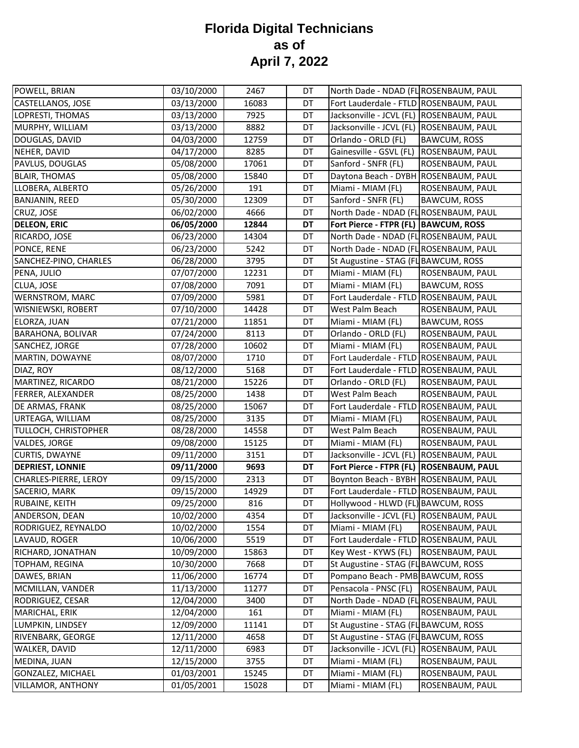| POWELL, BRIAN            | 03/10/2000 | 2467  | DT | North Dade - NDAD (FL ROSENBAUM, PAUL     |                     |
|--------------------------|------------|-------|----|-------------------------------------------|---------------------|
| CASTELLANOS, JOSE        | 03/13/2000 | 16083 | DT | Fort Lauderdale - FTLD ROSENBAUM, PAUL    |                     |
| LOPRESTI, THOMAS         | 03/13/2000 | 7925  | DT | Jacksonville - JCVL (FL) ROSENBAUM, PAUL  |                     |
| MURPHY, WILLIAM          | 03/13/2000 | 8882  | DT | Jacksonville - JCVL (FL) ROSENBAUM, PAUL  |                     |
| DOUGLAS, DAVID           | 04/03/2000 | 12759 | DT | Orlando - ORLD (FL)                       | <b>BAWCUM, ROSS</b> |
| NEHER, DAVID             | 04/17/2000 | 8285  | DT | Gainesville - GSVL (FL)                   | ROSENBAUM, PAUL     |
| PAVLUS, DOUGLAS          | 05/08/2000 | 17061 | DT | Sanford - SNFR (FL)                       | ROSENBAUM, PAUL     |
| <b>BLAIR, THOMAS</b>     | 05/08/2000 | 15840 | DT | Daytona Beach - DYBH ROSENBAUM, PAUL      |                     |
| LLOBERA, ALBERTO         | 05/26/2000 | 191   | DT | Miami - MIAM (FL)                         | ROSENBAUM, PAUL     |
| <b>BANJANIN, REED</b>    | 05/30/2000 | 12309 | DT | Sanford - SNFR (FL)                       | <b>BAWCUM, ROSS</b> |
| CRUZ, JOSE               | 06/02/2000 | 4666  | DT | North Dade - NDAD (FL ROSENBAUM, PAUL     |                     |
| <b>DELEON, ERIC</b>      | 06/05/2000 | 12844 | DT | Fort Pierce - FTPR (FL)  BAWCUM, ROSS     |                     |
| RICARDO, JOSE            | 06/23/2000 | 14304 | DT | North Dade - NDAD (FL ROSENBAUM, PAUL     |                     |
| PONCE, RENE              | 06/23/2000 | 5242  | DT | North Dade - NDAD (FL ROSENBAUM, PAUL     |                     |
| SANCHEZ-PINO, CHARLES    | 06/28/2000 | 3795  | DT | St Augustine - STAG (FL BAWCUM, ROSS      |                     |
| PENA, JULIO              | 07/07/2000 | 12231 | DT | Miami - MIAM (FL)                         | ROSENBAUM, PAUL     |
| CLUA, JOSE               | 07/08/2000 | 7091  | DT | Miami - MIAM (FL)                         | <b>BAWCUM, ROSS</b> |
| WERNSTROM, MARC          | 07/09/2000 | 5981  | DT | Fort Lauderdale - FTLD ROSENBAUM, PAUL    |                     |
| WISNIEWSKI, ROBERT       | 07/10/2000 | 14428 | DT | West Palm Beach                           | ROSENBAUM, PAUL     |
| ELORZA, JUAN             | 07/21/2000 | 11851 | DT | Miami - MIAM (FL)                         | <b>BAWCUM, ROSS</b> |
| <b>BARAHONA, BOLIVAR</b> | 07/24/2000 | 8113  | DT | Orlando - ORLD (FL)                       | ROSENBAUM, PAUL     |
| SANCHEZ, JORGE           | 07/28/2000 | 10602 | DT | Miami - MIAM (FL)                         | ROSENBAUM, PAUL     |
| MARTIN, DOWAYNE          | 08/07/2000 | 1710  | DT | Fort Lauderdale - FTLD ROSENBAUM, PAUL    |                     |
| DIAZ, ROY                | 08/12/2000 | 5168  | DT | Fort Lauderdale - FTLD ROSENBAUM, PAUL    |                     |
| MARTINEZ, RICARDO        | 08/21/2000 | 15226 | DT | Orlando - ORLD (FL)                       | ROSENBAUM, PAUL     |
| FERRER, ALEXANDER        | 08/25/2000 | 1438  | DT | West Palm Beach                           | ROSENBAUM, PAUL     |
| DE ARMAS, FRANK          | 08/25/2000 | 15067 | DT | Fort Lauderdale - FTLD ROSENBAUM, PAUL    |                     |
| URTEAGA, WILLIAM         | 08/25/2000 | 3135  | DT | Miami - MIAM (FL)                         | ROSENBAUM, PAUL     |
| TULLOCH, CHRISTOPHER     | 08/28/2000 | 14558 | DT | West Palm Beach                           | ROSENBAUM, PAUL     |
| VALDES, JORGE            | 09/08/2000 | 15125 | DT | Miami - MIAM (FL)                         | ROSENBAUM, PAUL     |
| <b>CURTIS, DWAYNE</b>    | 09/11/2000 | 3151  | DT | Jacksonville - JCVL (FL)                  | ROSENBAUM, PAUL     |
| <b>DEPRIEST, LONNIE</b>  | 09/11/2000 | 9693  | DT | Fort Pierce - FTPR (FL)   ROSENBAUM, PAUL |                     |
| CHARLES-PIERRE, LEROY    | 09/15/2000 | 2313  | DT | Boynton Beach - BYBH ROSENBAUM, PAUL      |                     |
| SACERIO, MARK            | 09/15/2000 | 14929 | DT | Fort Lauderdale - FTLD ROSENBAUM, PAUL    |                     |
| RUBAINE, KEITH           | 09/25/2000 | 816   | DT | Hollywood - HLWD (FL) BAWCUM, ROSS        |                     |
| ANDERSON, DEAN           | 10/02/2000 | 4354  | DT | Jacksonville - JCVL (FL) ROSENBAUM, PAUL  |                     |
| RODRIGUEZ, REYNALDO      | 10/02/2000 | 1554  | DT | Miami - MIAM (FL)                         | ROSENBAUM, PAUL     |
| LAVAUD, ROGER            | 10/06/2000 | 5519  | DT | Fort Lauderdale - FTLD ROSENBAUM, PAUL    |                     |
| RICHARD, JONATHAN        | 10/09/2000 | 15863 | DT | Key West - KYWS (FL)                      | ROSENBAUM, PAUL     |
| TOPHAM, REGINA           | 10/30/2000 | 7668  | DT | St Augustine - STAG (FL BAWCUM, ROSS      |                     |
| DAWES, BRIAN             | 11/06/2000 | 16774 | DT | Pompano Beach - PMB BAWCUM, ROSS          |                     |
| MCMILLAN, VANDER         | 11/13/2000 | 11277 | DT | Pensacola - PNSC (FL)   ROSENBAUM, PAUL   |                     |
| RODRIGUEZ, CESAR         | 12/04/2000 | 3400  | DT | North Dade - NDAD (FL ROSENBAUM, PAUL     |                     |
| MARICHAL, ERIK           | 12/04/2000 | 161   | DT | Miami - MIAM (FL)                         | ROSENBAUM, PAUL     |
| LUMPKIN, LINDSEY         | 12/09/2000 | 11141 | DT | St Augustine - STAG (FL BAWCUM, ROSS      |                     |
| RIVENBARK, GEORGE        | 12/11/2000 | 4658  | DT | St Augustine - STAG (FL BAWCUM, ROSS      |                     |
| WALKER, DAVID            | 12/11/2000 | 6983  | DT | Jacksonville - JCVL (FL) ROSENBAUM, PAUL  |                     |
| MEDINA, JUAN             | 12/15/2000 | 3755  | DT | Miami - MIAM (FL)                         | ROSENBAUM, PAUL     |
| GONZALEZ, MICHAEL        | 01/03/2001 | 15245 | DT | Miami - MIAM (FL)                         | ROSENBAUM, PAUL     |
| <b>VILLAMOR, ANTHONY</b> | 01/05/2001 | 15028 | DT | Miami - MIAM (FL)                         | ROSENBAUM, PAUL     |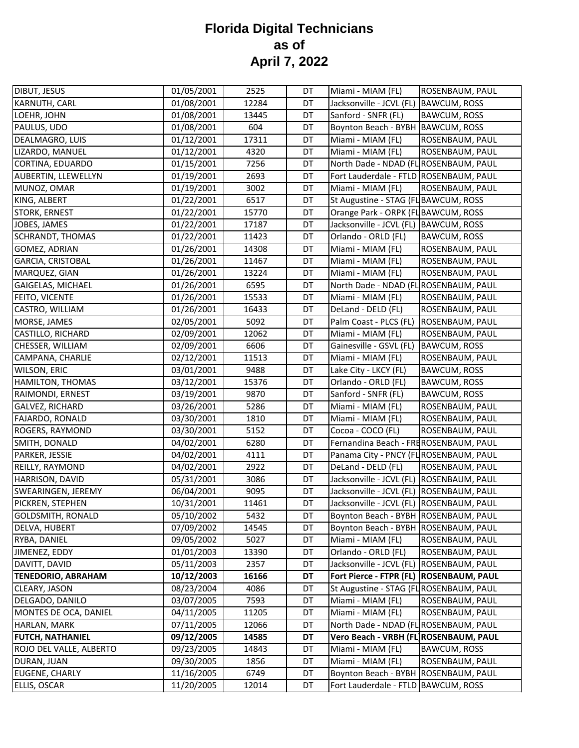| <b>DIBUT, JESUS</b>       | 01/05/2001 | 2525  | DT        | Miami - MIAM (FL)                        | ROSENBAUM, PAUL        |
|---------------------------|------------|-------|-----------|------------------------------------------|------------------------|
| KARNUTH, CARL             | 01/08/2001 | 12284 | DT        | Jacksonville - JCVL (FL)                 | <b>BAWCUM, ROSS</b>    |
| LOEHR, JOHN               | 01/08/2001 | 13445 | DT        | Sanford - SNFR (FL)                      | <b>BAWCUM, ROSS</b>    |
| PAULUS, UDO               | 01/08/2001 | 604   | DT        | Boynton Beach - BYBH                     | <b>BAWCUM, ROSS</b>    |
| DEALMAGRO, LUIS           | 01/12/2001 | 17311 | <b>DT</b> | Miami - MIAM (FL)                        | ROSENBAUM, PAUL        |
| LIZARDO, MANUEL           | 01/12/2001 | 4320  | DT        | Miami - MIAM (FL)                        | ROSENBAUM, PAUL        |
| CORTINA, EDUARDO          | 01/15/2001 | 7256  | DT        | North Dade - NDAD (FL ROSENBAUM, PAUL    |                        |
| AUBERTIN, LLEWELLYN       | 01/19/2001 | 2693  | DT        | Fort Lauderdale - FTLD ROSENBAUM, PAUL   |                        |
| MUNOZ, OMAR               | 01/19/2001 | 3002  | DT        | Miami - MIAM (FL)                        | ROSENBAUM, PAUL        |
| KING, ALBERT              | 01/22/2001 | 6517  | DT        | St Augustine - STAG (FL BAWCUM, ROSS     |                        |
| STORK, ERNEST             | 01/22/2001 | 15770 | DT        | Orange Park - ORPK (FL BAWCUM, ROSS      |                        |
| JOBES, JAMES              | 01/22/2001 | 17187 | DT        | Jacksonville - JCVL (FL) BAWCUM, ROSS    |                        |
| <b>SCHRANDT, THOMAS</b>   | 01/22/2001 | 11423 | DT        | Orlando - ORLD (FL)                      | <b>BAWCUM, ROSS</b>    |
| <b>GOMEZ, ADRIAN</b>      | 01/26/2001 | 14308 | DT        | Miami - MIAM (FL)                        | ROSENBAUM, PAUL        |
| <b>GARCIA, CRISTOBAL</b>  | 01/26/2001 | 11467 | DT        | Miami - MIAM (FL)                        | ROSENBAUM, PAUL        |
| MARQUEZ, GIAN             | 01/26/2001 | 13224 | DT        | Miami - MIAM (FL)                        | ROSENBAUM, PAUL        |
| GAIGELAS, MICHAEL         | 01/26/2001 | 6595  | DT        | North Dade - NDAD (FL ROSENBAUM, PAUL    |                        |
| FEITO, VICENTE            | 01/26/2001 | 15533 | DT        | Miami - MIAM (FL)                        | ROSENBAUM, PAUL        |
| CASTRO, WILLIAM           | 01/26/2001 | 16433 | DT        | DeLand - DELD (FL)                       | ROSENBAUM, PAUL        |
| MORSE, JAMES              | 02/05/2001 | 5092  | DT        | Palm Coast - PLCS (FL)                   | ROSENBAUM, PAUL        |
| CASTILLO, RICHARD         | 02/09/2001 | 12062 | DT        | Miami - MIAM (FL)                        | ROSENBAUM, PAUL        |
| CHESSER, WILLIAM          | 02/09/2001 | 6606  | DT        | Gainesville - GSVL (FL)                  | <b>BAWCUM, ROSS</b>    |
| CAMPANA, CHARLIE          | 02/12/2001 | 11513 | DT        | Miami - MIAM (FL)                        | ROSENBAUM, PAUL        |
| <b>WILSON, ERIC</b>       | 03/01/2001 | 9488  | DT        | Lake City - LKCY (FL)                    | <b>BAWCUM, ROSS</b>    |
| HAMILTON, THOMAS          | 03/12/2001 | 15376 | DT        | Orlando - ORLD (FL)                      | <b>BAWCUM, ROSS</b>    |
| RAIMONDI, ERNEST          | 03/19/2001 | 9870  | DT        | Sanford - SNFR (FL)                      | <b>BAWCUM, ROSS</b>    |
| GALVEZ, RICHARD           | 03/26/2001 | 5286  | DT        | Miami - MIAM (FL)                        | ROSENBAUM, PAUL        |
| FAJARDO, RONALD           | 03/30/2001 | 1810  | DT        | Miami - MIAM (FL)                        | ROSENBAUM, PAUL        |
| ROGERS, RAYMOND           | 03/30/2001 | 5152  | DT        | Cocoa - COCO (FL)                        | ROSENBAUM, PAUL        |
| SMITH, DONALD             | 04/02/2001 | 6280  | DT        | Fernandina Beach - FREROSENBAUM, PAUL    |                        |
| PARKER, JESSIE            | 04/02/2001 | 4111  | DT        | Panama City - PNCY (FL ROSENBAUM, PAUL   |                        |
| REILLY, RAYMOND           | 04/02/2001 | 2922  | DT        | DeLand - DELD (FL)                       | ROSENBAUM, PAUL        |
| HARRISON, DAVID           | 05/31/2001 | 3086  | DT        | Jacksonville - JCVL (FL)                 | ROSENBAUM, PAUL        |
| SWEARINGEN, JEREMY        | 06/04/2001 | 9095  | DT        | Jacksonville - JCVL (FL)                 | ROSENBAUM, PAUL        |
| PICKREN, STEPHEN          | 10/31/2001 | 11461 | DT        | Jacksonville - JCVL (FL) ROSENBAUM, PAUL |                        |
| <b>GOLDSMITH, RONALD</b>  | 05/10/2002 | 5432  | DT        | Boynton Beach - BYBH ROSENBAUM, PAUL     |                        |
| DELVA, HUBERT             | 07/09/2002 | 14545 | DT        | Boynton Beach - BYBH ROSENBAUM, PAUL     |                        |
| RYBA, DANIEL              | 09/05/2002 | 5027  | DT        | Miami - MIAM (FL)                        | ROSENBAUM, PAUL        |
| JIMENEZ, EDDY             | 01/01/2003 | 13390 | DT        | Orlando - ORLD (FL)                      | ROSENBAUM, PAUL        |
| DAVITT, DAVID             | 05/11/2003 | 2357  | DT        | Jacksonville - JCVL (FL)                 | ROSENBAUM, PAUL        |
| <b>TENEDORIO, ABRAHAM</b> | 10/12/2003 | 16166 | DT        | Fort Pierce - FTPR (FL)                  | <b>ROSENBAUM, PAUL</b> |
| CLEARY, JASON             | 08/23/2004 | 4086  | DT        | St Augustine - STAG (FL ROSENBAUM, PAUL  |                        |
| DELGADO, DANILO           | 03/07/2005 | 7593  | DT        | Miami - MIAM (FL)                        | ROSENBAUM, PAUL        |
| MONTES DE OCA, DANIEL     | 04/11/2005 | 11205 | DT        | Miami - MIAM (FL)                        | ROSENBAUM, PAUL        |
| HARLAN, MARK              | 07/11/2005 | 12066 | DT        | North Dade - NDAD (FL ROSENBAUM, PAUL    |                        |
| <b>FUTCH, NATHANIEL</b>   | 09/12/2005 | 14585 | DT        | Vero Beach - VRBH (FL]ROSENBAUM, PAUL    |                        |
| ROJO DEL VALLE, ALBERTO   | 09/23/2005 | 14843 | DT        | Miami - MIAM (FL)                        | <b>BAWCUM, ROSS</b>    |
| DURAN, JUAN               | 09/30/2005 | 1856  | DT        | Miami - MIAM (FL)                        | ROSENBAUM, PAUL        |
| <b>EUGENE, CHARLY</b>     | 11/16/2005 | 6749  | DT        | Boynton Beach - BYBH ROSENBAUM, PAUL     |                        |
| ELLIS, OSCAR              | 11/20/2005 | 12014 | DT        | Fort Lauderdale - FTLD BAWCUM, ROSS      |                        |
|                           |            |       |           |                                          |                        |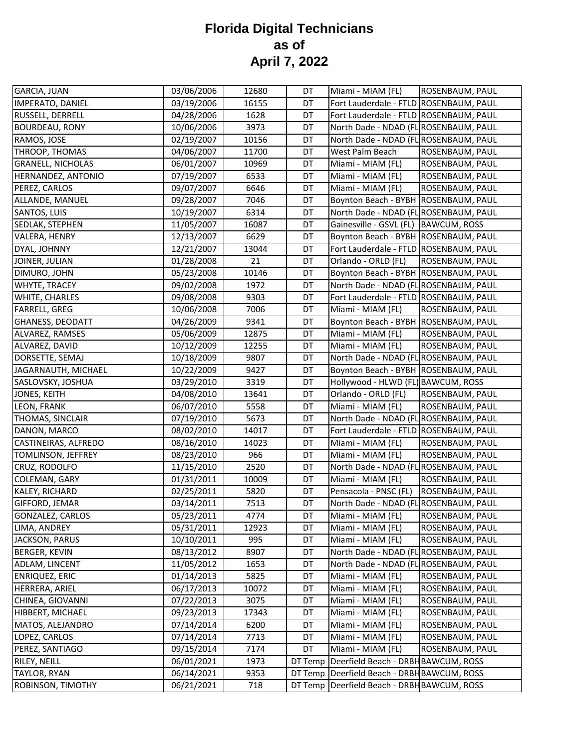| <b>GARCIA, JUAN</b>      | 03/06/2006 | 12680 | DT      | Miami - MIAM (FL)                             | ROSENBAUM, PAUL |
|--------------------------|------------|-------|---------|-----------------------------------------------|-----------------|
| IMPERATO, DANIEL         | 03/19/2006 | 16155 | DT      | Fort Lauderdale - FTLD ROSENBAUM, PAUL        |                 |
| RUSSELL, DERRELL         | 04/28/2006 | 1628  | DT      | Fort Lauderdale - FTLD ROSENBAUM, PAUL        |                 |
| <b>BOURDEAU, RONY</b>    | 10/06/2006 | 3973  | DT      | North Dade - NDAD (FL ROSENBAUM, PAUL         |                 |
| RAMOS, JOSE              | 02/19/2007 | 10156 | DT      | North Dade - NDAD (FL ROSENBAUM, PAUL         |                 |
| THROOP, THOMAS           | 04/06/2007 | 11700 | DT      | West Palm Beach                               | ROSENBAUM, PAUL |
| <b>GRANELL, NICHOLAS</b> | 06/01/2007 | 10969 | DT      | Miami - MIAM (FL)                             | ROSENBAUM, PAUL |
| HERNANDEZ, ANTONIO       | 07/19/2007 | 6533  | DT      | Miami - MIAM (FL)                             | ROSENBAUM, PAUL |
| PEREZ, CARLOS            | 09/07/2007 | 6646  | DT      | Miami - MIAM (FL)                             | ROSENBAUM, PAUL |
| ALLANDE, MANUEL          | 09/28/2007 | 7046  | DT      | Boynton Beach - BYBH ROSENBAUM, PAUL          |                 |
| SANTOS, LUIS             | 10/19/2007 | 6314  | DT      | North Dade - NDAD (FL ROSENBAUM, PAUL         |                 |
| SEDLAK, STEPHEN          | 11/05/2007 | 16087 | DT      | Gainesville - GSVL (FL)   BAWCUM, ROSS        |                 |
| VALERA, HENRY            | 12/13/2007 | 6629  | DT      | Boynton Beach - BYBH ROSENBAUM, PAUL          |                 |
| DYAL, JOHNNY             | 12/21/2007 | 13044 | DT      | Fort Lauderdale - FTLD ROSENBAUM, PAUL        |                 |
| JOINER, JULIAN           | 01/28/2008 | 21    | DT      | Orlando - ORLD (FL)                           | ROSENBAUM, PAUL |
| DIMURO, JOHN             | 05/23/2008 | 10146 | DT      | Boynton Beach - BYBH ROSENBAUM, PAUL          |                 |
| WHYTE, TRACEY            | 09/02/2008 | 1972  | DT      | North Dade - NDAD (FL ROSENBAUM, PAUL         |                 |
| WHITE, CHARLES           | 09/08/2008 | 9303  | DT      | Fort Lauderdale - FTLD ROSENBAUM, PAUL        |                 |
| <b>FARRELL, GREG</b>     | 10/06/2008 | 7006  | DT      | Miami - MIAM (FL)                             | ROSENBAUM, PAUL |
| <b>GHANESS, DEODATT</b>  | 04/26/2009 | 9341  | DT      | Boynton Beach - BYBH ROSENBAUM, PAUL          |                 |
| ALVAREZ, RAMSES          | 05/06/2009 | 12875 | DT      | Miami - MIAM (FL)                             | ROSENBAUM, PAUL |
| ALVAREZ, DAVID           | 10/12/2009 | 12255 | DT      | Miami - MIAM (FL)                             | ROSENBAUM, PAUL |
| DORSETTE, SEMAJ          | 10/18/2009 | 9807  | DT      | North Dade - NDAD (FL ROSENBAUM, PAUL         |                 |
| JAGARNAUTH, MICHAEL      | 10/22/2009 | 9427  | DT      | Boynton Beach - BYBH ROSENBAUM, PAUL          |                 |
| SASLOVSKY, JOSHUA        | 03/29/2010 | 3319  | DT      | Hollywood - HLWD (FL) BAWCUM, ROSS            |                 |
| JONES, KEITH             | 04/08/2010 | 13641 | DT      | Orlando - ORLD (FL)                           | ROSENBAUM, PAUL |
| LEON, FRANK              | 06/07/2010 | 5558  | DT      | Miami - MIAM (FL)                             | ROSENBAUM, PAUL |
| THOMAS, SINCLAIR         | 07/19/2010 | 5673  | DT      | North Dade - NDAD (FL ROSENBAUM, PAUL         |                 |
| DANON, MARCO             | 08/02/2010 | 14017 | DT      | Fort Lauderdale - FTLD ROSENBAUM, PAUL        |                 |
| CASTINEIRAS, ALFREDO     | 08/16/2010 | 14023 | DT      | Miami - MIAM (FL)                             | ROSENBAUM, PAUL |
| TOMLINSON, JEFFREY       | 08/23/2010 | 966   | DT      | Miami - MIAM (FL)                             | ROSENBAUM, PAUL |
| CRUZ, RODOLFO            | 11/15/2010 | 2520  | DT      | North Dade - NDAD (FL ROSENBAUM, PAUL         |                 |
| COLEMAN, GARY            | 01/31/2011 | 10009 | DT      | Miami - MIAM (FL)                             | ROSENBAUM, PAUL |
| KALEY, RICHARD           | 02/25/2011 | 5820  | DT      | Pensacola - PNSC (FL)                         | ROSENBAUM, PAUL |
| GIFFORD, JEMAR           | 03/14/2011 | 7513  | DT      | North Dade - NDAD (FL ROSENBAUM, PAUL         |                 |
| <b>GONZALEZ, CARLOS</b>  | 05/23/2011 | 4774  | DT      | Miami - MIAM (FL)                             | ROSENBAUM, PAUL |
| LIMA, ANDREY             | 05/31/2011 | 12923 | DT      | Miami - MIAM (FL)                             | ROSENBAUM, PAUL |
| JACKSON, PARUS           | 10/10/2011 | 995   | DT      | Miami - MIAM (FL)                             | ROSENBAUM, PAUL |
| <b>BERGER, KEVIN</b>     | 08/13/2012 | 8907  | DT      | North Dade - NDAD (FL ROSENBAUM, PAUL         |                 |
| ADLAM, LINCENT           | 11/05/2012 | 1653  | DT      | North Dade - NDAD (FL ROSENBAUM, PAUL         |                 |
| <b>ENRIQUEZ, ERIC</b>    | 01/14/2013 | 5825  | DT      | Miami - MIAM (FL)                             | ROSENBAUM, PAUL |
| HERRERA, ARIEL           | 06/17/2013 | 10072 | DT      | Miami - MIAM (FL)                             | ROSENBAUM, PAUL |
| CHINEA, GIOVANNI         | 07/22/2013 | 3075  | DT      | Miami - MIAM (FL)                             | ROSENBAUM, PAUL |
| HIBBERT, MICHAEL         | 09/23/2013 | 17343 | DT      | Miami - MIAM (FL)                             | ROSENBAUM, PAUL |
| MATOS, ALEJANDRO         | 07/14/2014 | 6200  | DT      | Miami - MIAM (FL)                             | ROSENBAUM, PAUL |
| LOPEZ, CARLOS            | 07/14/2014 | 7713  | DT      | Miami - MIAM (FL)                             | ROSENBAUM, PAUL |
| PEREZ, SANTIAGO          | 09/15/2014 | 7174  | DT      | Miami - MIAM (FL)                             | ROSENBAUM, PAUL |
| RILEY, NEILL             | 06/01/2021 | 1973  | DT Temp | Deerfield Beach - DRBH BAWCUM, ROSS           |                 |
| <b>TAYLOR, RYAN</b>      | 06/14/2021 | 9353  |         | DT Temp   Deerfield Beach - DRBH BAWCUM, ROSS |                 |
| ROBINSON, TIMOTHY        | 06/21/2021 | 718   |         | DT Temp   Deerfield Beach - DRBH BAWCUM, ROSS |                 |